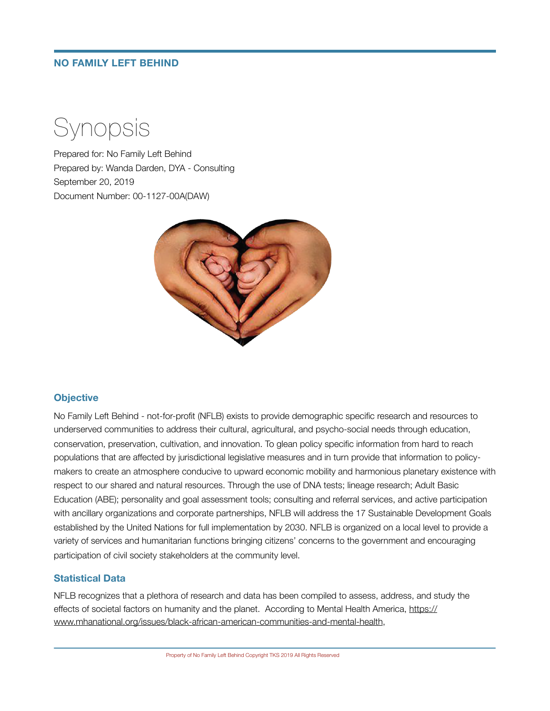## **NO FAMILY LEFT BEHIND**

Synopsis

Prepared for: No Family Left Behind Prepared by: Wanda Darden, DYA - Consulting September 20, 2019 Document Number: 00-1127-00A(DAW)



## **Objective**

No Family Left Behind - not-for-profit (NFLB) exists to provide demographic specific research and resources to underserved communities to address their cultural, agricultural, and psycho-social needs through education, conservation, preservation, cultivation, and innovation. To glean policy specific information from hard to reach populations that are affected by jurisdictional legislative measures and in turn provide that information to policymakers to create an atmosphere conducive to upward economic mobility and harmonious planetary existence with respect to our shared and natural resources. Through the use of DNA tests; lineage research; Adult Basic Education (ABE); personality and goal assessment tools; consulting and referral services, and active participation with ancillary organizations and corporate partnerships, NFLB will address the 17 Sustainable Development Goals established by the United Nations for full implementation by 2030. NFLB is organized on a local level to provide a variety of services and humanitarian functions bringing citizens' concerns to the government and encouraging participation of civil society stakeholders at the community level.

## **Statistical Data**

NFLB recognizes that a plethora of research and data has been compiled to assess, address, and study the effects of societal factors on humanity and the planet. According to Mental Health America, [https://](https://www.mhanational.org/issues/black-african-american-communities-and-mental-health) [www.mhanational.org/issues/black-african-american-communities-and-mental-health](https://www.mhanational.org/issues/black-african-american-communities-and-mental-health),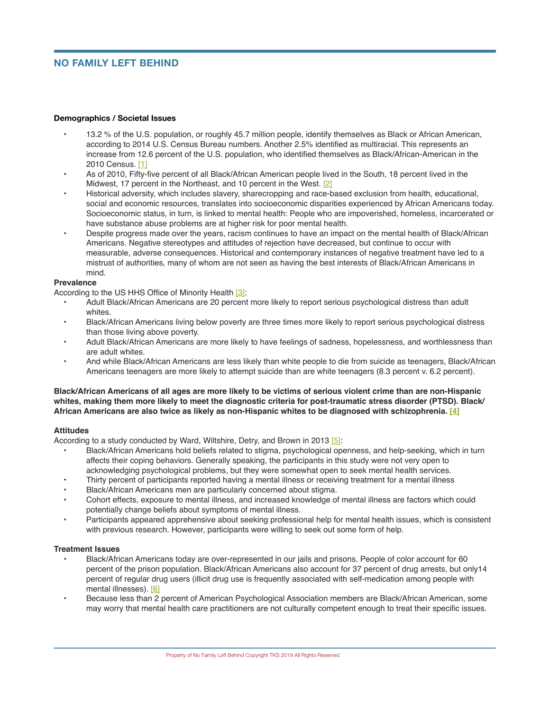# **NO FAMILY LEFT BEHIND**

#### **Demographics / Societal Issues**

- **•** 13.2 % of the U.S. population, or roughly 45.7 million people, identify themselves as Black or African American, according to 2014 U.S. Census Bureau numbers. Another 2.5% identified as multiracial. This represents an increase from 12.6 percent of the U.S. population, who identified themselves as Black/African-American in the 2010 Census. [1]
- **•** As of 2010, Fifty-five percent of all Black/African American people lived in the South, 18 percent lived in the Midwest, 17 percent in the Northeast, and 10 percent in the West. [2]
- **•** Historical adversity, which includes slavery, sharecropping and race-based exclusion from health, educational, social and economic resources, translates into socioeconomic disparities experienced by African Americans today. Socioeconomic status, in turn, is linked to mental health: People who are impoverished, homeless, incarcerated or have substance abuse problems are at higher risk for poor mental health.
- **•** Despite progress made over the years, racism continues to have an impact on the mental health of Black/African Americans. Negative stereotypes and attitudes of rejection have decreased, but continue to occur with measurable, adverse consequences. Historical and contemporary instances of negative treatment have led to a mistrust of authorities, many of whom are not seen as having the best interests of Black/African Americans in mind.

#### **Prevalence**

According to the US HHS Office of Minority Health [3]:

- **•** Adult Black/African Americans are 20 percent more likely to report serious psychological distress than adult whites.
- **•** Black/African Americans living below poverty are three times more likely to report serious psychological distress than those living above poverty.
- **•** Adult Black/African Americans are more likely to have feelings of sadness, hopelessness, and worthlessness than are adult whites.
- **•** And while Black/African Americans are less likely than white people to die from suicide as teenagers, Black/African Americans teenagers are more likely to attempt suicide than are white teenagers (8.3 percent v. 6.2 percent).

### **Black/African Americans of all ages are more likely to be victims of serious violent crime than are non-Hispanic whites, making them more likely to meet the diagnostic criteria for post-traumatic stress disorder (PTSD). Black/ African Americans are also twice as likely as non-Hispanic whites to be diagnosed with schizophrenia. [4]**

#### **Attitudes**

According to a study conducted by Ward, Wiltshire, Detry, and Brown in 2013 [5]:

- **•** Black/African Americans hold beliefs related to stigma, psychological openness, and help-seeking, which in turn affects their coping behaviors. Generally speaking, the participants in this study were not very open to acknowledging psychological problems, but they were somewhat open to seek mental health services.
- **•** Thirty percent of participants reported having a mental illness or receiving treatment for a mental illness
- **•** Black/African Americans men are particularly concerned about stigma.
- **•** Cohort effects, exposure to mental illness, and increased knowledge of mental illness are factors which could potentially change beliefs about symptoms of mental illness.
- **•** Participants appeared apprehensive about seeking professional help for mental health issues, which is consistent with previous research. However, participants were willing to seek out some form of help.

## **Treatment Issues**

- **•** Black/African Americans today are over-represented in our jails and prisons. People of color account for 60 percent of the prison population. Black/African Americans also account for 37 percent of drug arrests, but only14 percent of regular drug users (illicit drug use is frequently associated with self-medication among people with mental illnesses). [6]
- **•** Because less than 2 percent of American Psychological Association members are Black/African American, some may worry that mental health care practitioners are not culturally competent enough to treat their specific issues.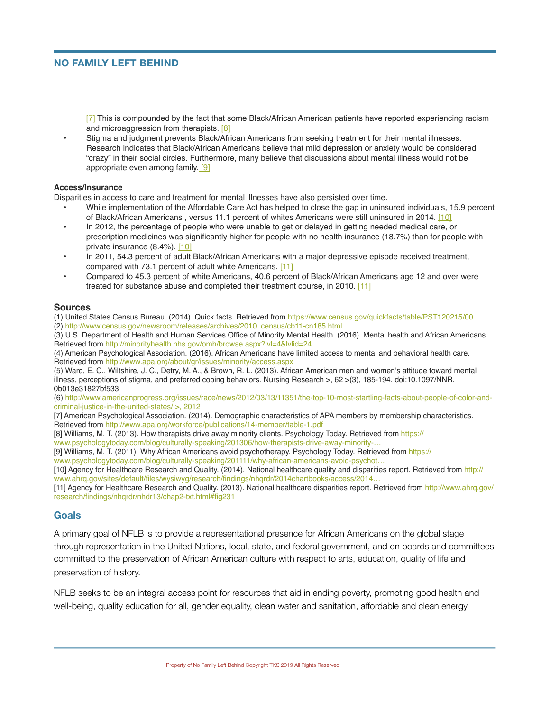## **NO FAMILY LEFT BEHIND**

[7] This is compounded by the fact that some Black/African American patients have reported experiencing racism and microaggression from therapists. [8]

**•** Stigma and judgment prevents Black/African Americans from seeking treatment for their mental illnesses. Research indicates that Black/African Americans believe that mild depression or anxiety would be considered "crazy" in their social circles. Furthermore, many believe that discussions about mental illness would not be appropriate even among family. [9]

#### **Access/Insurance**

Disparities in access to care and treatment for mental illnesses have also persisted over time.

- **•** While implementation of the Affordable Care Act has helped to close the gap in uninsured individuals, 15.9 percent of Black/African Americans, versus 11.1 percent of whites Americans were still uninsured in 2014. [10]
- **•** In 2012, the percentage of people who were unable to get or delayed in getting needed medical care, or prescription medicines was significantly higher for people with no health insurance (18.7%) than for people with private insurance (8.4%). [10]
- **•** In 2011, 54.3 percent of adult Black/African Americans with a major depressive episode received treatment, compared with 73.1 percent of adult white Americans. [11]
- **•** Compared to 45.3 percent of white Americans, 40.6 percent of Black/African Americans age 12 and over were treated for substance abuse and completed their treatment course, in 2010. [11]

#### **Sources**

(1) United States Census Bureau. (2014). Quick facts. Retrieved from<https://www.census.gov/quickfacts/table/PST120215/00> (2) [http://www.census.gov/newsroom/releases/archives/2010\\_census/cb11-cn185.html](http://www.census.gov/newsroom/releases/archives/2010_census/cb11-cn185.html)

(3) U.S. Department of Health and Human Services Office of Minority Mental Health. (2016). Mental health and African Americans. Retrieved from<http://minorityhealth.hhs.gov/omh/browse.aspx?lvl=4&lvlid=24>

(4) American Psychological Association. (2016). African Americans have limited access to mental and behavioral health care. Retrieved from<http://www.apa.org/about/gr/issues/minority/access.aspx>

(5) Ward, E. C., Wiltshire, J. C., Detry, M. A., & Brown, R. L. (2013). African American men and women's attitude toward mental illness, perceptions of stigma, and preferred coping behaviors. Nursing Research >, 62 >(3), 185-194. doi:10.1097/NNR. 0b013e31827bf533

(6) [http://www.americanprogress.org/issues/race/news/2012/03/13/11351/the-top-10-most-startling-facts-about-people-of-color-and](https://www.americanprogress.org/issues/race/news/2012/03/13/11351/the-top-10-most-startling-facts-about-people-of-color-and-criminal-justice-in-the-united-states/)[criminal-justice-in-the-united-states/ >, 2012](https://www.americanprogress.org/issues/race/news/2012/03/13/11351/the-top-10-most-startling-facts-about-people-of-color-and-criminal-justice-in-the-united-states/)

[7] American Psychological Association. (2014). Demographic characteristics of APA members by membership characteristics. Retrieved from<http://www.apa.org/workforce/publications/14-member/table-1.pdf>

[8] Williams, M. T. (2013). How therapists drive away minority clients. Psychology Today. Retrieved from [https://](https://www.psychologytoday.com/blog/culturally-speaking/201306/how-therapists-drive-away-minority-clients)

[www.psychologytoday.com/blog/culturally-speaking/201306/how-therapists-drive-away-minority-…](https://www.psychologytoday.com/blog/culturally-speaking/201306/how-therapists-drive-away-minority-clients)

[9] Williams, M. T. (2011). Why African Americans avoid psychotherapy. Psychology Today. Retrieved from [https://](https://www.psychologytoday.com/blog/culturally-speaking/201111/why-african-americans-avoid-psychotherapy) [www.psychologytoday.com/blog/culturally-speaking/201111/why-african-americans-avoid-psychot…](https://www.psychologytoday.com/blog/culturally-speaking/201111/why-african-americans-avoid-psychotherapy)

[10] Agency for Healthcare Research and Quality. (2014). National healthcare quality and disparities report. Retrieved from [http://](http://www.ahrq.gov/sites/default/files/wysiwyg/research/findings/nhqrdr/2014chartbooks/access/2014nhqdr-access.pdf) www.ahrq.gov/sites/default/files/wysiwyg/research/findings/nhqrdr/2014chartbooks/access/2014...

[11] Agency for Healthcare Research and Quality. (2013). National healthcare disparities report. Retrieved from http://www.ahrg.gov/ [research/findings/nhqrdr/nhdr13/chap2-txt.html#fig231](http://www.ahrq.gov/research/findings/nhqrdr/nhdr13/chap2-txt.html#fig231)

## **Goals**

A primary goal of NFLB is to provide a representational presence for African Americans on the global stage through representation in the United Nations, local, state, and federal government, and on boards and committees committed to the preservation of African American culture with respect to arts, education, quality of life and preservation of history.

NFLB seeks to be an integral access point for resources that aid in ending poverty, promoting good health and well-being, quality education for all, gender equality, clean water and sanitation, affordable and clean energy,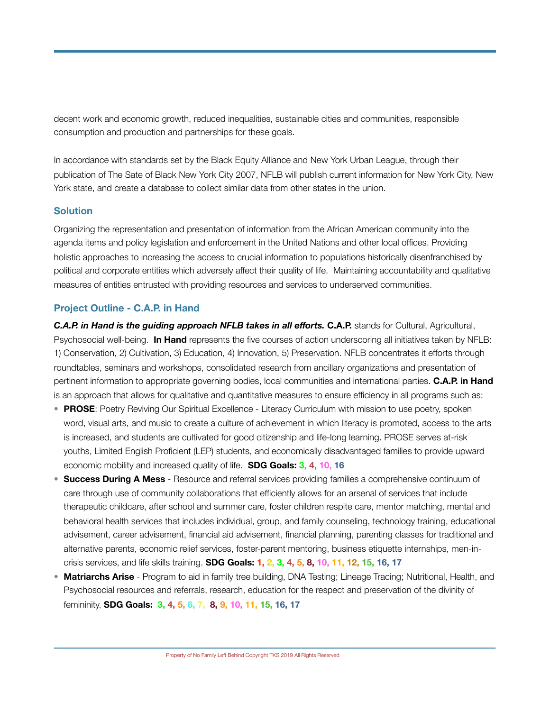decent work and economic growth, reduced inequalities, sustainable cities and communities, responsible consumption and production and partnerships for these goals.

In accordance with standards set by the Black Equity Alliance and New York Urban League, through their publication of The Sate of Black New York City 2007, NFLB will publish current information for New York City, New York state, and create a database to collect similar data from other states in the union.

# **Solution**

Organizing the representation and presentation of information from the African American community into the agenda items and policy legislation and enforcement in the United Nations and other local offices. Providing holistic approaches to increasing the access to crucial information to populations historically disenfranchised by political and corporate entities which adversely affect their quality of life. Maintaining accountability and qualitative measures of entities entrusted with providing resources and services to underserved communities.

# **Project Outline - C.A.P. in Hand**

*C.A.P. in Hand is the guiding approach NFLB takes in all efforts. C.A.P. stands for Cultural, Agricultural,* Psychosocial well-being. **In Hand** represents the five courses of action underscoring all initiatives taken by NFLB: 1) Conservation, 2) Cultivation, 3) Education, 4) Innovation, 5) Preservation. NFLB concentrates it efforts through roundtables, seminars and workshops, consolidated research from ancillary organizations and presentation of pertinent information to appropriate governing bodies, local communities and international parties. **C.A.P. in Hand**  is an approach that allows for qualitative and quantitative measures to ensure efficiency in all programs such as:

- **PROSE**: Poetry Reviving Our Spiritual Excellence Literacy Curriculum with mission to use poetry, spoken word, visual arts, and music to create a culture of achievement in which literacy is promoted, access to the arts is increased, and students are cultivated for good citizenship and life-long learning. PROSE serves at-risk youths, Limited English Proficient (LEP) students, and economically disadvantaged families to provide upward economic mobility and increased quality of life. **SDG Goals: 3, 4, 10, 16**
- **Success During A Mess**  Resource and referral services providing families a comprehensive continuum of care through use of community collaborations that efficiently allows for an arsenal of services that include therapeutic childcare, after school and summer care, foster children respite care, mentor matching, mental and behavioral health services that includes individual, group, and family counseling, technology training, educational advisement, career advisement, financial aid advisement, financial planning, parenting classes for traditional and alternative parents, economic relief services, foster-parent mentoring, business etiquette internships, men-incrisis services, and life skills training. **SDG Goals: 1, 2, 3, 4, 5, 8, 10, 11, 12, 15, 16, 17**
- **Matriarchs Arise** Program to aid in family tree building, DNA Testing; Lineage Tracing; Nutritional, Health, and Psychosocial resources and referrals, research, education for the respect and preservation of the divinity of femininity. **SDG Goals: 3, 4, 5, 6, 7, 8, 9, 10, 11, 15, 16, 17**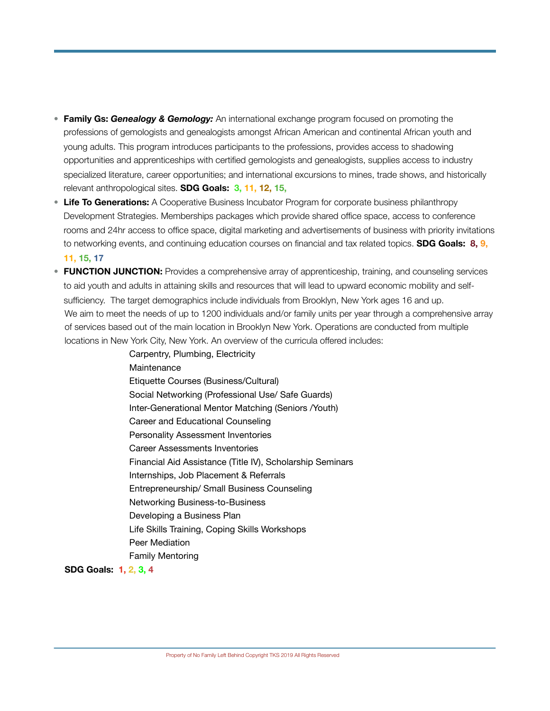- **Family Gs:** *Genealogy & Gemology:* An international exchange program focused on promoting the professions of gemologists and genealogists amongst African American and continental African youth and young adults. This program introduces participants to the professions, provides access to shadowing opportunities and apprenticeships with certified gemologists and genealogists, supplies access to industry specialized literature, career opportunities; and international excursions to mines, trade shows, and historically relevant anthropological sites. **SDG Goals: 3, 11, 12, 15,**
- **Life To Generations:** A Cooperative Business Incubator Program for corporate business philanthropy Development Strategies. Memberships packages which provide shared office space, access to conference rooms and 24hr access to office space, digital marketing and advertisements of business with priority invitations to networking events, and continuing education courses on financial and tax related topics. **SDG Goals: 8, 9, 11, 15, 17**
- **FUNCTION JUNCTION:** Provides a comprehensive array of apprenticeship, training, and counseling services to aid youth and adults in attaining skills and resources that will lead to upward economic mobility and selfsufficiency. The target demographics include individuals from Brooklyn, New York ages 16 and up. We aim to meet the needs of up to 1200 individuals and/or family units per year through a comprehensive array of services based out of the main location in Brooklyn New York. Operations are conducted from multiple locations in New York City, New York. An overview of the curricula offered includes:

Carpentry, Plumbing, Electricity **Maintenance** Etiquette Courses (Business/Cultural) Social Networking (Professional Use/ Safe Guards) Inter-Generational Mentor Matching (Seniors /Youth) Career and Educational Counseling Personality Assessment Inventories Career Assessments Inventories Financial Aid Assistance (Title IV), Scholarship Seminars Internships, Job Placement & Referrals Entrepreneurship/ Small Business Counseling Networking Business-to-Business Developing a Business Plan Life Skills Training, Coping Skills Workshops Peer Mediation Family Mentoring

**SDG Goals: 1, 2, 3, 4**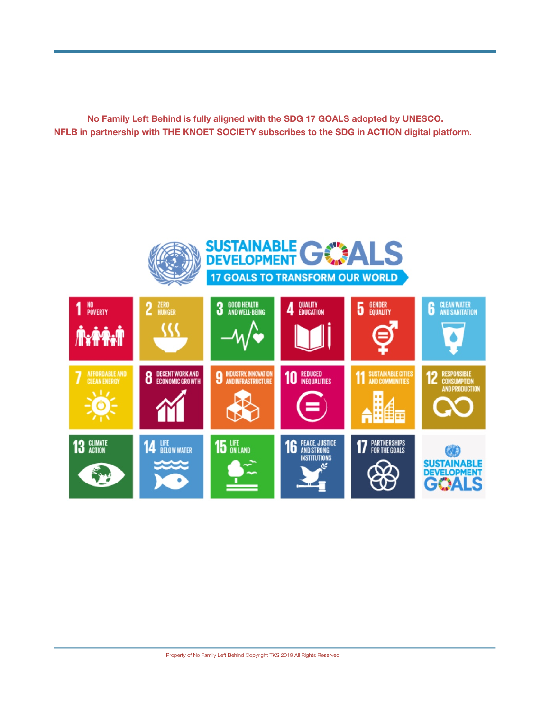**No Family Left Behind is fully aligned with the SDG 17 GOALS adopted by UNESCO. NFLB in partnership with THE KNOET SOCIETY subscribes to the SDG in ACTION digital platform.**

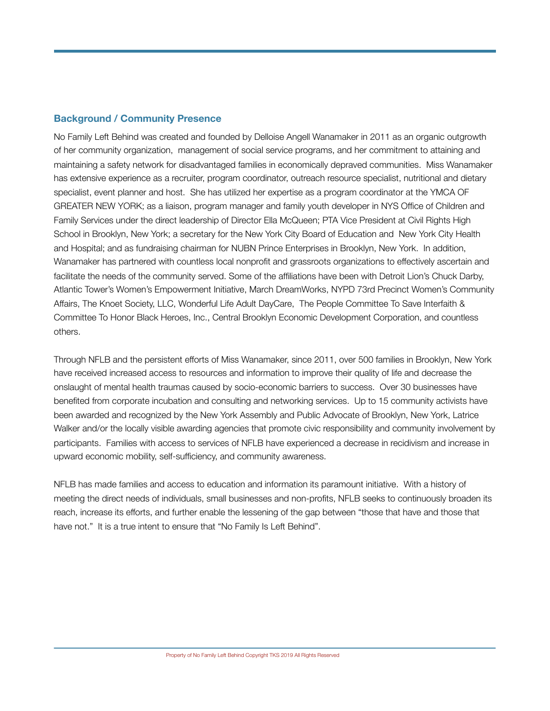# **Background / Community Presence**

No Family Left Behind was created and founded by Delloise Angell Wanamaker in 2011 as an organic outgrowth of her community organization, management of social service programs, and her commitment to attaining and maintaining a safety network for disadvantaged families in economically depraved communities. Miss Wanamaker has extensive experience as a recruiter, program coordinator, outreach resource specialist, nutritional and dietary specialist, event planner and host. She has utilized her expertise as a program coordinator at the YMCA OF GREATER NEW YORK; as a liaison, program manager and family youth developer in NYS Office of Children and Family Services under the direct leadership of Director Ella McQueen; PTA Vice President at Civil Rights High School in Brooklyn, New York; a secretary for the New York City Board of Education and New York City Health and Hospital; and as fundraising chairman for NUBN Prince Enterprises in Brooklyn, New York. In addition, Wanamaker has partnered with countless local nonprofit and grassroots organizations to effectively ascertain and facilitate the needs of the community served. Some of the affiliations have been with Detroit Lion's Chuck Darby, Atlantic Tower's Women's Empowerment Initiative, March DreamWorks, NYPD 73rd Precinct Women's Community Affairs, The Knoet Society, LLC, Wonderful Life Adult DayCare, The People Committee To Save Interfaith & Committee To Honor Black Heroes, Inc., Central Brooklyn Economic Development Corporation, and countless others.

Through NFLB and the persistent efforts of Miss Wanamaker, since 2011, over 500 families in Brooklyn, New York have received increased access to resources and information to improve their quality of life and decrease the onslaught of mental health traumas caused by socio-economic barriers to success. Over 30 businesses have benefited from corporate incubation and consulting and networking services. Up to 15 community activists have been awarded and recognized by the New York Assembly and Public Advocate of Brooklyn, New York, Latrice Walker and/or the locally visible awarding agencies that promote civic responsibility and community involvement by participants. Families with access to services of NFLB have experienced a decrease in recidivism and increase in upward economic mobility, self-sufficiency, and community awareness.

NFLB has made families and access to education and information its paramount initiative. With a history of meeting the direct needs of individuals, small businesses and non-profits, NFLB seeks to continuously broaden its reach, increase its efforts, and further enable the lessening of the gap between "those that have and those that have not." It is a true intent to ensure that "No Family Is Left Behind".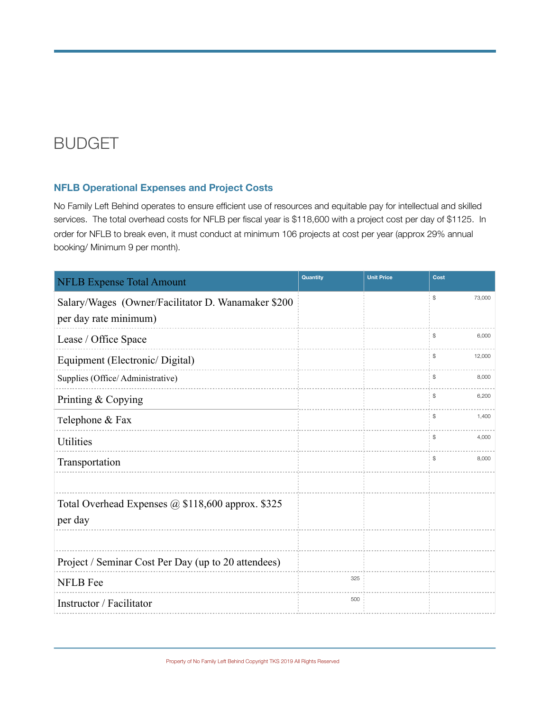# BUDGET

# **NFLB Operational Expenses and Project Costs**

No Family Left Behind operates to ensure efficient use of resources and equitable pay for intellectual and skilled services. The total overhead costs for NFLB per fiscal year is \$118,600 with a project cost per day of \$1125. In order for NFLB to break even, it must conduct at minimum 106 projects at cost per year (approx 29% annual booking/ Minimum 9 per month).

| <b>NFLB Expense Total Amount</b>                    | Quantity | <b>Unit Price</b> | Cost         |
|-----------------------------------------------------|----------|-------------------|--------------|
| Salary/Wages (Owner/Facilitator D. Wanamaker \$200  |          |                   | \$<br>73,000 |
| per day rate minimum)                               |          |                   |              |
| Lease / Office Space                                |          |                   | \$<br>6,000  |
| Equipment (Electronic/Digital)                      |          |                   | \$<br>12,000 |
| Supplies (Office/Administrative)                    |          |                   | \$<br>8,000  |
| Printing & Copying                                  |          |                   | \$<br>6,200  |
| Telephone & Fax                                     |          |                   | \$<br>1,400  |
| Utilities                                           |          |                   | \$<br>4,000  |
| Transportation                                      |          |                   | \$<br>8,000  |
|                                                     |          |                   |              |
| Total Overhead Expenses @ \$118,600 approx. \$325   |          |                   |              |
| per day                                             |          |                   |              |
|                                                     |          |                   |              |
| Project / Seminar Cost Per Day (up to 20 attendees) |          |                   |              |
| <b>NFLB</b> Fee                                     | 325      |                   |              |
| Instructor / Facilitator                            | 500      |                   |              |